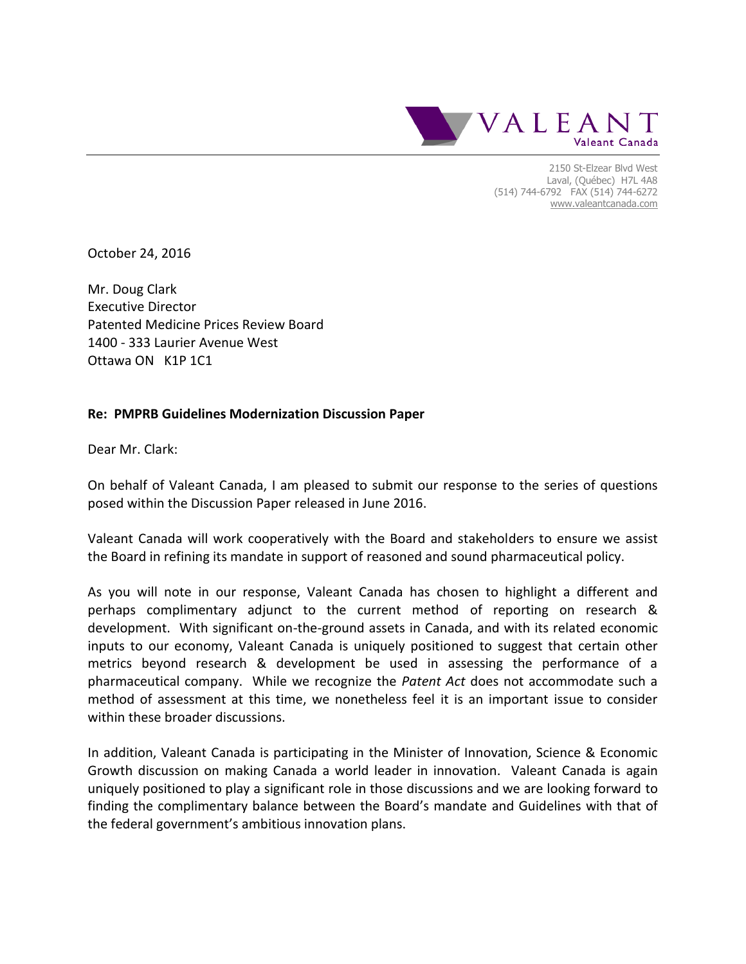

2150 St-Elzear Blvd West Laval, (Québec) H7L 4A8 (514) 744-6792 FAX (514) 744-6272 [www.valeantcanada.com](http://www.valeant.com/)

October 24, 2016

Mr. Doug Clark Executive Director Patented Medicine Prices Review Board 1400 - 333 Laurier Avenue West Ottawa ON K1P 1C1

#### **Re: PMPRB Guidelines Modernization Discussion Paper**

Dear Mr. Clark:

On behalf of Valeant Canada, I am pleased to submit our response to the series of questions posed within the Discussion Paper released in June 2016.

Valeant Canada will work cooperatively with the Board and stakeholders to ensure we assist the Board in refining its mandate in support of reasoned and sound pharmaceutical policy.

As you will note in our response, Valeant Canada has chosen to highlight a different and perhaps complimentary adjunct to the current method of reporting on research & development. With significant on-the-ground assets in Canada, and with its related economic inputs to our economy, Valeant Canada is uniquely positioned to suggest that certain other metrics beyond research & development be used in assessing the performance of a pharmaceutical company. While we recognize the *Patent Act* does not accommodate such a method of assessment at this time, we nonetheless feel it is an important issue to consider within these broader discussions.

In addition, Valeant Canada is participating in the Minister of Innovation, Science & Economic Growth discussion on making Canada a world leader in innovation. Valeant Canada is again uniquely positioned to play a significant role in those discussions and we are looking forward to finding the complimentary balance between the Board's mandate and Guidelines with that of the federal government's ambitious innovation plans.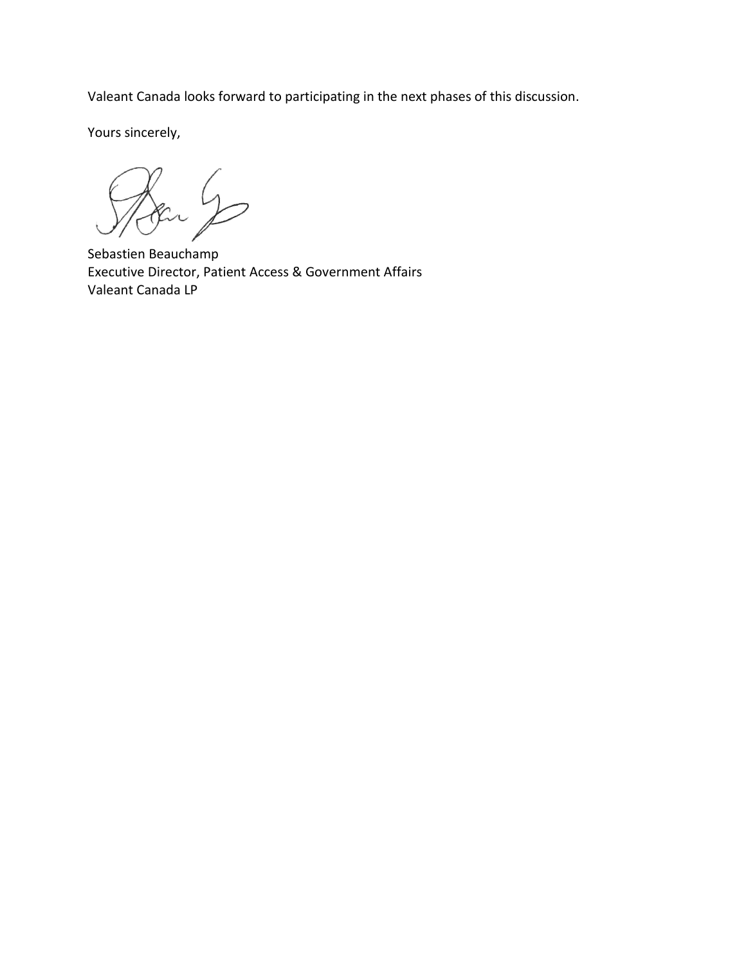Valeant Canada looks forward to participating in the next phases of this discussion.

Yours sincerely,

SA Secret S

Executive Director, Patient Access & Government Affairs Valeant Canada LP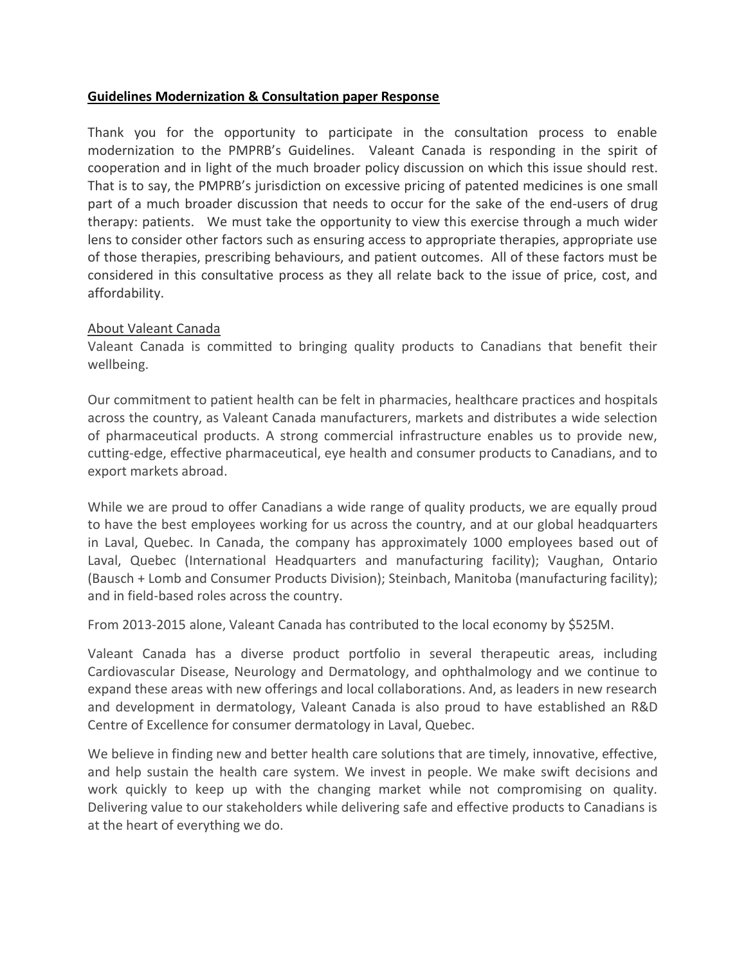## **Guidelines Modernization & Consultation paper Response**

Thank you for the opportunity to participate in the consultation process to enable modernization to the PMPRB's Guidelines. Valeant Canada is responding in the spirit of cooperation and in light of the much broader policy discussion on which this issue should rest. That is to say, the PMPRB's jurisdiction on excessive pricing of patented medicines is one small part of a much broader discussion that needs to occur for the sake of the end-users of drug therapy: patients. We must take the opportunity to view this exercise through a much wider lens to consider other factors such as ensuring access to appropriate therapies, appropriate use of those therapies, prescribing behaviours, and patient outcomes. All of these factors must be considered in this consultative process as they all relate back to the issue of price, cost, and affordability.

## About Valeant Canada

Valeant Canada is committed to bringing quality products to Canadians that benefit their wellbeing.

Our commitment to patient health can be felt in pharmacies, healthcare practices and hospitals across the country, as Valeant Canada manufacturers, markets and distributes a wide selection of pharmaceutical products. A strong commercial infrastructure enables us to provide new, cutting-edge, effective pharmaceutical, eye health and consumer products to Canadians, and to export markets abroad.

While we are proud to offer Canadians a wide range of quality products, we are equally proud to have the best employees working for us across the country, and at our global headquarters in Laval, Quebec. In Canada, the company has approximately 1000 employees based out of Laval, Quebec (International Headquarters and manufacturing facility); Vaughan, Ontario (Bausch + Lomb and Consumer Products Division); Steinbach, Manitoba (manufacturing facility); and in field-based roles across the country.

From 2013-2015 alone, Valeant Canada has contributed to the local economy by \$525M.

Valeant Canada has a diverse product portfolio in several therapeutic areas, including Cardiovascular Disease, Neurology and Dermatology, and ophthalmology and we continue to expand these areas with new offerings and local collaborations. And, as leaders in new research and development in dermatology, Valeant Canada is also proud to have established an R&D Centre of Excellence for consumer dermatology in Laval, Quebec.

We believe in finding new and better health care solutions that are timely, innovative, effective, and help sustain the health care system. We invest in people. We make swift decisions and work quickly to keep up with the changing market while not compromising on quality. Delivering value to our stakeholders while delivering safe and effective products to Canadians is at the heart of everything we do.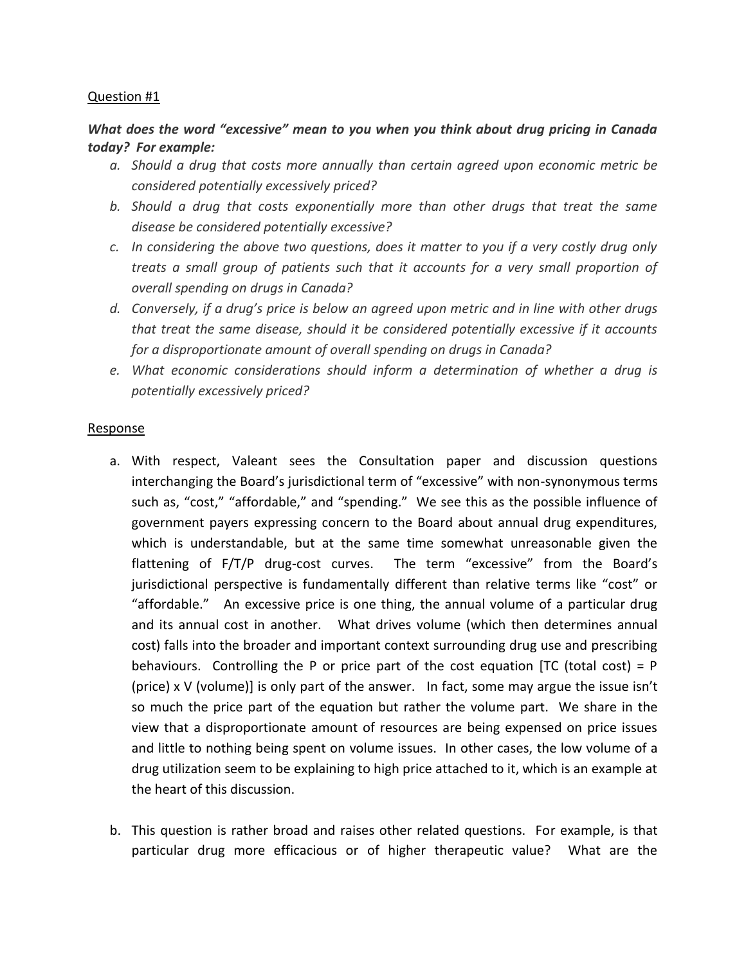## *What does the word "excessive" mean to you when you think about drug pricing in Canada today? For example:*

- *a. Should a drug that costs more annually than certain agreed upon economic metric be considered potentially excessively priced?*
- *b. Should a drug that costs exponentially more than other drugs that treat the same disease be considered potentially excessive?*
- *c. In considering the above two questions, does it matter to you if a very costly drug only treats a small group of patients such that it accounts for a very small proportion of overall spending on drugs in Canada?*
- *d. Conversely, if a drug's price is below an agreed upon metric and in line with other drugs that treat the same disease, should it be considered potentially excessive if it accounts for a disproportionate amount of overall spending on drugs in Canada?*
- *e. What economic considerations should inform a determination of whether a drug is potentially excessively priced?*

## Response

- a. With respect, Valeant sees the Consultation paper and discussion questions interchanging the Board's jurisdictional term of "excessive" with non-synonymous terms such as, "cost," "affordable," and "spending." We see this as the possible influence of government payers expressing concern to the Board about annual drug expenditures, which is understandable, but at the same time somewhat unreasonable given the flattening of F/T/P drug-cost curves. The term "excessive" from the Board's jurisdictional perspective is fundamentally different than relative terms like "cost" or "affordable." An excessive price is one thing, the annual volume of a particular drug and its annual cost in another. What drives volume (which then determines annual cost) falls into the broader and important context surrounding drug use and prescribing behaviours. Controlling the P or price part of the cost equation [TC (total cost) =  $P$ (price) x V (volume)] is only part of the answer. In fact, some may argue the issue isn't so much the price part of the equation but rather the volume part. We share in the view that a disproportionate amount of resources are being expensed on price issues and little to nothing being spent on volume issues. In other cases, the low volume of a drug utilization seem to be explaining to high price attached to it, which is an example at the heart of this discussion.
- b. This question is rather broad and raises other related questions. For example, is that particular drug more efficacious or of higher therapeutic value? What are the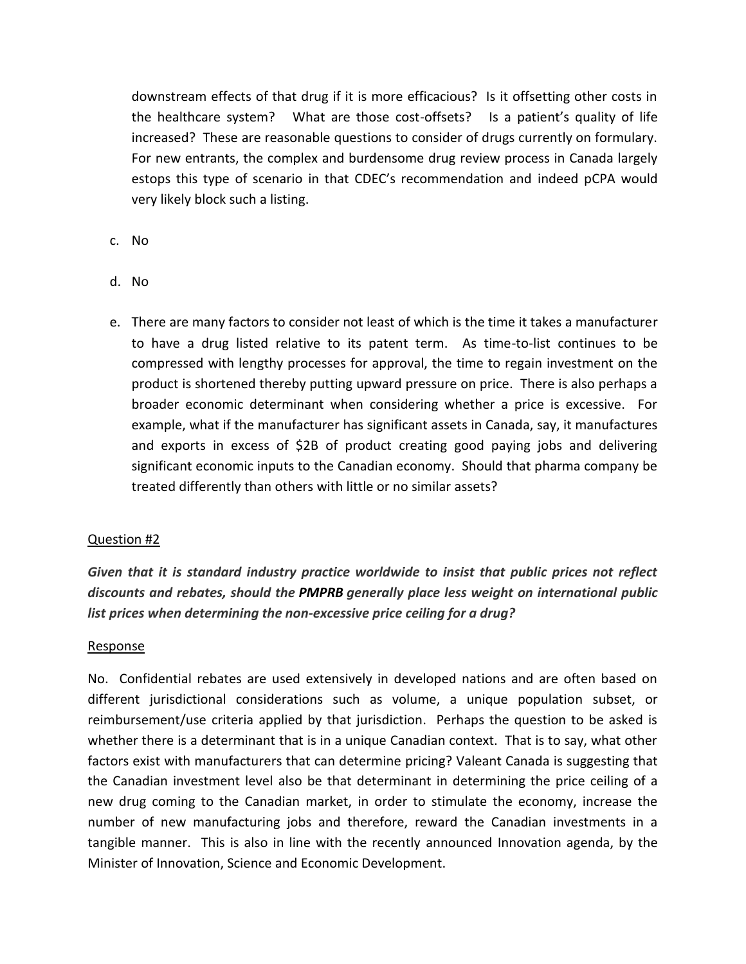downstream effects of that drug if it is more efficacious? Is it offsetting other costs in the healthcare system? What are those cost-offsets? Is a patient's quality of life increased? These are reasonable questions to consider of drugs currently on formulary. For new entrants, the complex and burdensome drug review process in Canada largely estops this type of scenario in that CDEC's recommendation and indeed pCPA would very likely block such a listing.

- c. No
- d. No
- e. There are many factors to consider not least of which is the time it takes a manufacturer to have a drug listed relative to its patent term. As time-to-list continues to be compressed with lengthy processes for approval, the time to regain investment on the product is shortened thereby putting upward pressure on price. There is also perhaps a broader economic determinant when considering whether a price is excessive. For example, what if the manufacturer has significant assets in Canada, say, it manufactures and exports in excess of \$2B of product creating good paying jobs and delivering significant economic inputs to the Canadian economy. Should that pharma company be treated differently than others with little or no similar assets?

## Question #2

*Given that it is standard industry practice worldwide to insist that public prices not reflect discounts and rebates, should the PMPRB generally place less weight on international public list prices when determining the non-excessive price ceiling for a drug?* 

## Response

No. Confidential rebates are used extensively in developed nations and are often based on different jurisdictional considerations such as volume, a unique population subset, or reimbursement/use criteria applied by that jurisdiction. Perhaps the question to be asked is whether there is a determinant that is in a unique Canadian context. That is to say, what other factors exist with manufacturers that can determine pricing? Valeant Canada is suggesting that the Canadian investment level also be that determinant in determining the price ceiling of a new drug coming to the Canadian market, in order to stimulate the economy, increase the number of new manufacturing jobs and therefore, reward the Canadian investments in a tangible manner. This is also in line with the recently announced Innovation agenda, by the Minister of Innovation, Science and Economic Development.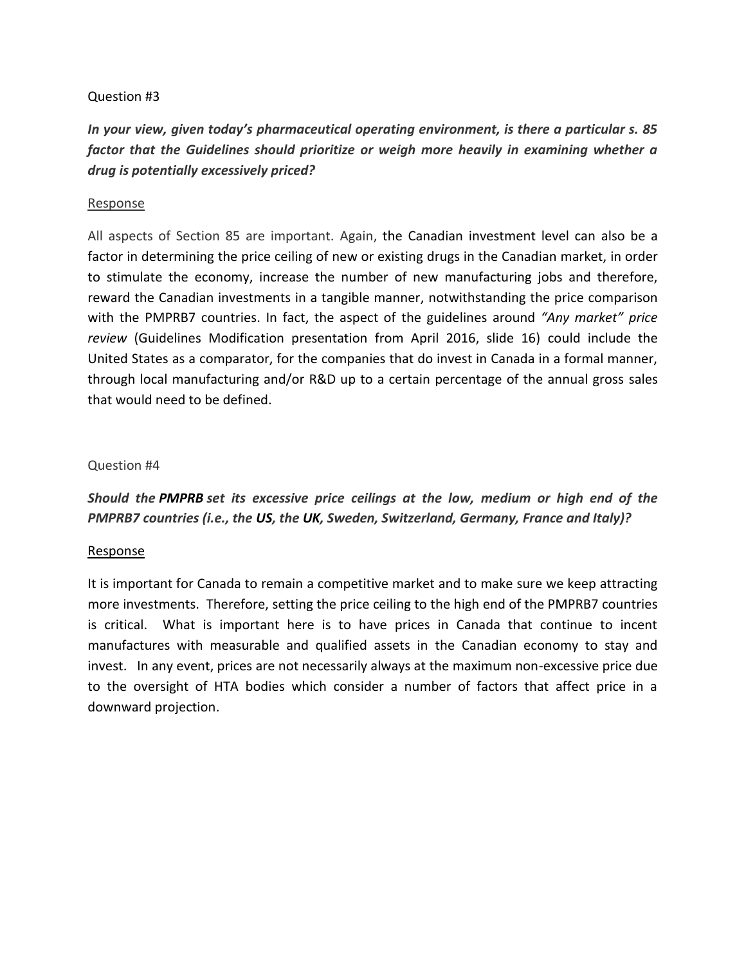*In your view, given today's pharmaceutical operating environment, is there a particular s. 85 factor that the Guidelines should prioritize or weigh more heavily in examining whether a drug is potentially excessively priced?*

#### Response

All aspects of Section 85 are important. Again, the Canadian investment level can also be a factor in determining the price ceiling of new or existing drugs in the Canadian market, in order to stimulate the economy, increase the number of new manufacturing jobs and therefore, reward the Canadian investments in a tangible manner, notwithstanding the price comparison with the PMPRB7 countries. In fact, the aspect of the guidelines around *"Any market" price review* (Guidelines Modification presentation from April 2016, slide 16) could include the United States as a comparator, for the companies that do invest in Canada in a formal manner, through local manufacturing and/or R&D up to a certain percentage of the annual gross sales that would need to be defined.

#### Question #4

*Should the PMPRB set its excessive price ceilings at the low, medium or high end of the PMPRB7 countries (i.e., the US, the UK, Sweden, Switzerland, Germany, France and Italy)?*

#### Response

It is important for Canada to remain a competitive market and to make sure we keep attracting more investments. Therefore, setting the price ceiling to the high end of the PMPRB7 countries is critical. What is important here is to have prices in Canada that continue to incent manufactures with measurable and qualified assets in the Canadian economy to stay and invest. In any event, prices are not necessarily always at the maximum non-excessive price due to the oversight of HTA bodies which consider a number of factors that affect price in a downward projection.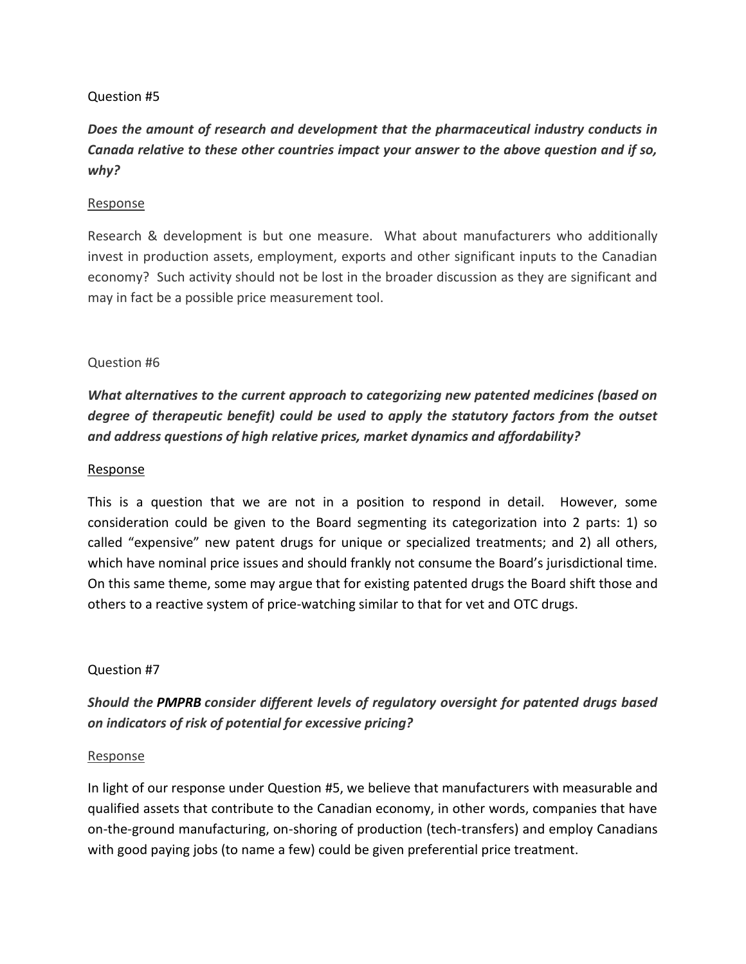# *Does the amount of research and development that the pharmaceutical industry conducts in Canada relative to these other countries impact your answer to the above question and if so, why?*

## Response

Research & development is but one measure. What about manufacturers who additionally invest in production assets, employment, exports and other significant inputs to the Canadian economy? Such activity should not be lost in the broader discussion as they are significant and may in fact be a possible price measurement tool.

#### Question #6

*What alternatives to the current approach to categorizing new patented medicines (based on degree of therapeutic benefit) could be used to apply the statutory factors from the outset and address questions of high relative prices, market dynamics and affordability?*

#### Response

This is a question that we are not in a position to respond in detail. However, some consideration could be given to the Board segmenting its categorization into 2 parts: 1) so called "expensive" new patent drugs for unique or specialized treatments; and 2) all others, which have nominal price issues and should frankly not consume the Board's jurisdictional time. On this same theme, some may argue that for existing patented drugs the Board shift those and others to a reactive system of price-watching similar to that for vet and OTC drugs.

## Question #7

# *Should the PMPRB consider different levels of regulatory oversight for patented drugs based on indicators of risk of potential for excessive pricing?*

#### Response

In light of our response under Question #5, we believe that manufacturers with measurable and qualified assets that contribute to the Canadian economy, in other words, companies that have on-the-ground manufacturing, on-shoring of production (tech-transfers) and employ Canadians with good paying jobs (to name a few) could be given preferential price treatment.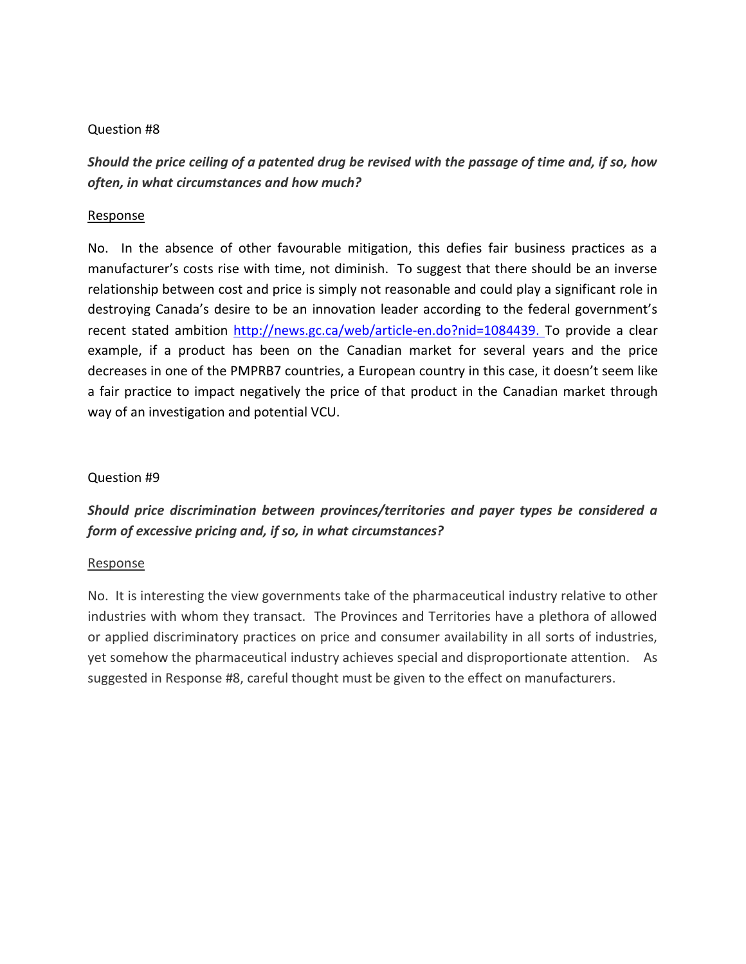# *Should the price ceiling of a patented drug be revised with the passage of time and, if so, how often, in what circumstances and how much?*

## Response

No. In the absence of other favourable mitigation, this defies fair business practices as a manufacturer's costs rise with time, not diminish. To suggest that there should be an inverse relationship between cost and price is simply not reasonable and could play a significant role in destroying Canada's desire to be an innovation leader according to the federal government's recent stated ambition [http://news.gc.ca/web/article-en.do?nid=1084439.](http://news.gc.ca/web/article-en.do?nid=1084439) To provide a clear example, if a product has been on the Canadian market for several years and the price decreases in one of the PMPRB7 countries, a European country in this case, it doesn't seem like a fair practice to impact negatively the price of that product in the Canadian market through way of an investigation and potential VCU.

## Question #9

# *Should price discrimination between provinces/territories and payer types be considered a form of excessive pricing and, if so, in what circumstances?*

## Response

No. It is interesting the view governments take of the pharmaceutical industry relative to other industries with whom they transact. The Provinces and Territories have a plethora of allowed or applied discriminatory practices on price and consumer availability in all sorts of industries, yet somehow the pharmaceutical industry achieves special and disproportionate attention. As suggested in Response #8, careful thought must be given to the effect on manufacturers.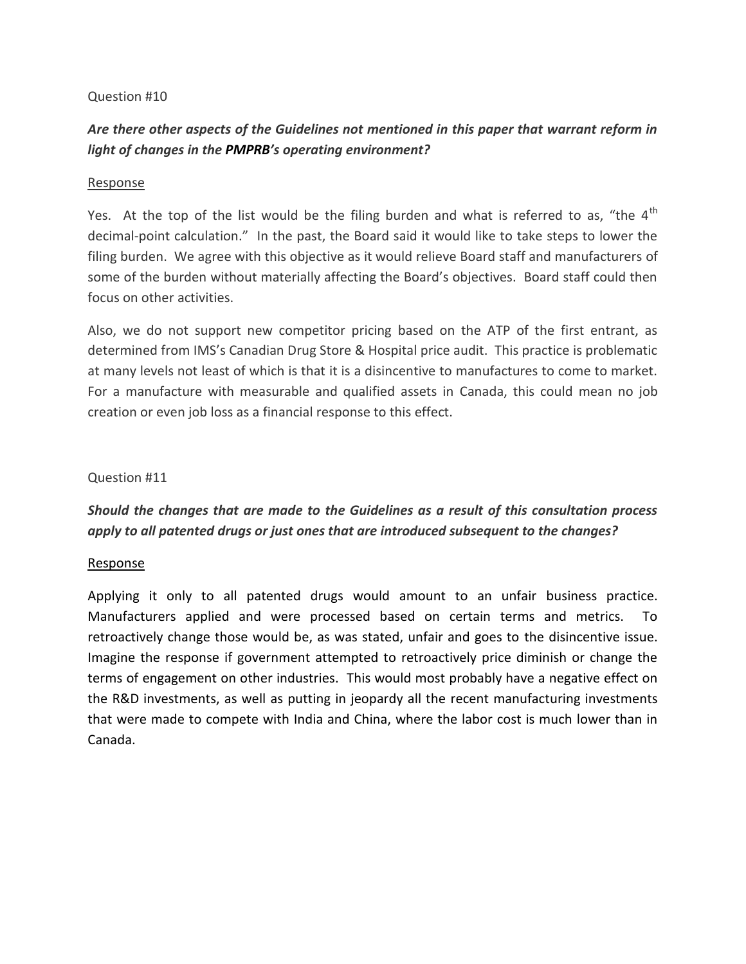# *Are there other aspects of the Guidelines not mentioned in this paper that warrant reform in light of changes in the PMPRB's operating environment?*

#### Response

Yes. At the top of the list would be the filing burden and what is referred to as, "the 4<sup>th</sup> decimal-point calculation." In the past, the Board said it would like to take steps to lower the filing burden. We agree with this objective as it would relieve Board staff and manufacturers of some of the burden without materially affecting the Board's objectives. Board staff could then focus on other activities.

Also, we do not support new competitor pricing based on the ATP of the first entrant, as determined from IMS's Canadian Drug Store & Hospital price audit. This practice is problematic at many levels not least of which is that it is a disincentive to manufactures to come to market. For a manufacture with measurable and qualified assets in Canada, this could mean no job creation or even job loss as a financial response to this effect.

#### Question #11

## *Should the changes that are made to the Guidelines as a result of this consultation process apply to all patented drugs or just ones that are introduced subsequent to the changes?*

#### Response

Applying it only to all patented drugs would amount to an unfair business practice. Manufacturers applied and were processed based on certain terms and metrics. To retroactively change those would be, as was stated, unfair and goes to the disincentive issue. Imagine the response if government attempted to retroactively price diminish or change the terms of engagement on other industries. This would most probably have a negative effect on the R&D investments, as well as putting in jeopardy all the recent manufacturing investments that were made to compete with India and China, where the labor cost is much lower than in Canada.